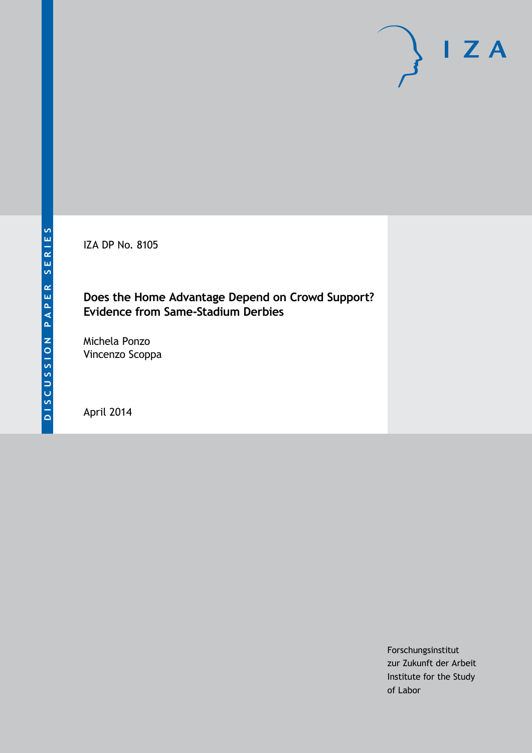IZA DP No. 8105

#### **Does the Home Advantage Depend on Crowd Support? Evidence from Same-Stadium Derbies**

Michela Ponzo Vincenzo Scoppa

April 2014

Forschungsinstitut zur Zukunft der Arbeit Institute for the Study of Labor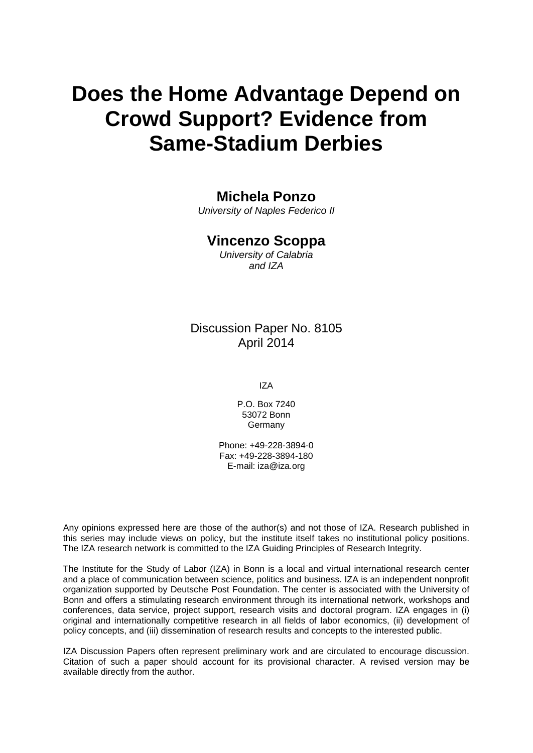# **Does the Home Advantage Depend on Crowd Support? Evidence from Same-Stadium Derbies**

## **Michela Ponzo**

*University of Naples Federico II*

#### **Vincenzo Scoppa**

*University of Calabria and IZA*

## Discussion Paper No. 8105 April 2014

IZA

P.O. Box 7240 53072 Bonn **Germany** 

Phone: +49-228-3894-0 Fax: +49-228-3894-180 E-mail: [iza@iza.org](mailto:iza@iza.org)

Any opinions expressed here are those of the author(s) and not those of IZA. Research published in this series may include views on policy, but the institute itself takes no institutional policy positions. The IZA research network is committed to the IZA Guiding Principles of Research Integrity.

The Institute for the Study of Labor (IZA) in Bonn is a local and virtual international research center and a place of communication between science, politics and business. IZA is an independent nonprofit organization supported by Deutsche Post Foundation. The center is associated with the University of Bonn and offers a stimulating research environment through its international network, workshops and conferences, data service, project support, research visits and doctoral program. IZA engages in (i) original and internationally competitive research in all fields of labor economics, (ii) development of policy concepts, and (iii) dissemination of research results and concepts to the interested public.

<span id="page-1-0"></span>IZA Discussion Papers often represent preliminary work and are circulated to encourage discussion. Citation of such a paper should account for its provisional character. A revised version may be available directly from the author.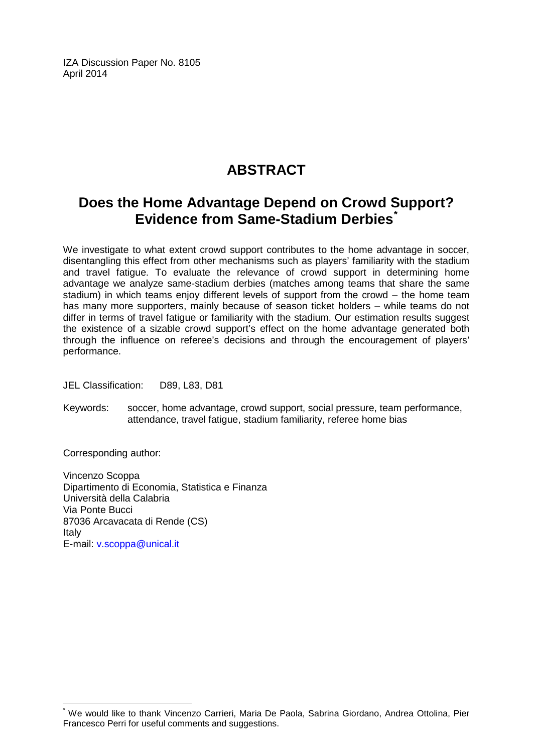IZA Discussion Paper No. 8105 April 2014

# **ABSTRACT**

## **Does the Home Advantage Depend on Crowd Support? Evidence from Same-Stadium Derbies[\\*](#page-1-0)**

We investigate to what extent crowd support contributes to the home advantage in soccer, disentangling this effect from other mechanisms such as players' familiarity with the stadium and travel fatigue. To evaluate the relevance of crowd support in determining home advantage we analyze same-stadium derbies (matches among teams that share the same stadium) in which teams enjoy different levels of support from the crowd – the home team has many more supporters, mainly because of season ticket holders – while teams do not differ in terms of travel fatigue or familiarity with the stadium. Our estimation results suggest the existence of a sizable crowd support's effect on the home advantage generated both through the influence on referee's decisions and through the encouragement of players' performance.

JEL Classification: D89, L83, D81

Keywords: soccer, home advantage, crowd support, social pressure, team performance, attendance, travel fatigue, stadium familiarity, referee home bias

Corresponding author:

Vincenzo Scoppa Dipartimento di Economia, Statistica e Finanza Università della Calabria Via Ponte Bucci 87036 Arcavacata di Rende (CS) Italy E-mail: [v.scoppa@unical.it](mailto:v.scoppa@unical.it)

We would like to thank Vincenzo Carrieri, Maria De Paola, Sabrina Giordano, Andrea Ottolina, Pier Francesco Perri for useful comments and suggestions.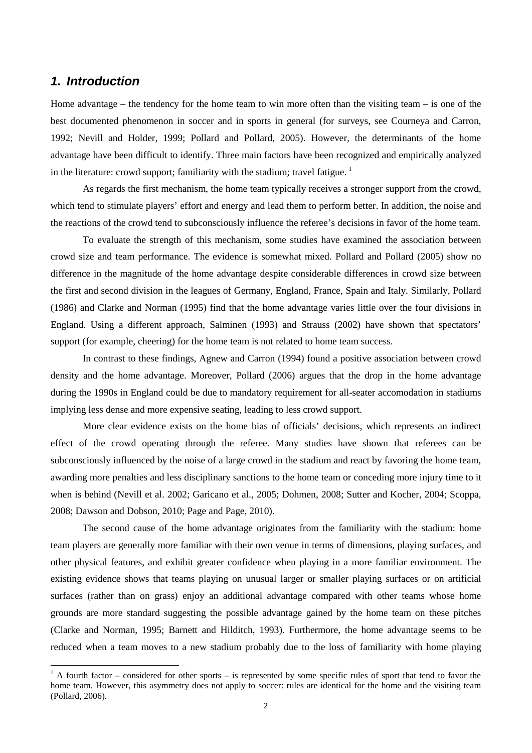#### *1. Introduction*

Home advantage – the tendency for the home team to win more often than the visiting team – is one of the best documented phenomenon in soccer and in sports in general (for surveys, see Courneya and Carron, 1992; Nevill and Holder, 1999; Pollard and Pollard, 2005). However, the determinants of the home advantage have been difficult to identify. Three main factors have been recognized and empirically analyzed in the literature: crowd support; familiarity with the stadium; travel fatigue.  $\frac{1}{1}$ 

As regards the first mechanism, the home team typically receives a stronger support from the crowd, which tend to stimulate players' effort and energy and lead them to perform better. In addition, the noise and the reactions of the crowd tend to subconsciously influence the referee's decisions in favor of the home team.

To evaluate the strength of this mechanism, some studies have examined the association between crowd size and team performance. The evidence is somewhat mixed. Pollard and Pollard (2005) show no difference in the magnitude of the home advantage despite considerable differences in crowd size between the first and second division in the leagues of Germany, England, France, Spain and Italy. Similarly, Pollard (1986) and Clarke and Norman (1995) find that the home advantage varies little over the four divisions in England. Using a different approach, Salminen (1993) and Strauss (2002) have shown that spectators' support (for example, cheering) for the home team is not related to home team success.

In contrast to these findings, Agnew and Carron (1994) found a positive association between crowd density and the home advantage. Moreover, Pollard (2006) argues that the drop in the home advantage during the 1990s in England could be due to mandatory requirement for all-seater accomodation in stadiums implying less dense and more expensive seating, leading to less crowd support.

More clear evidence exists on the home bias of officials' decisions, which represents an indirect effect of the crowd operating through the referee. Many studies have shown that referees can be subconsciously influenced by the noise of a large crowd in the stadium and react by favoring the home team, awarding more penalties and less disciplinary sanctions to the home team or conceding more injury time to it when is behind (Nevill et al. 2002; Garicano et al., 2005; Dohmen, 2008; Sutter and Kocher, 2004; Scoppa, 2008; Dawson and Dobson, 2010; Page and Page, 2010).

The second cause of the home advantage originates from the familiarity with the stadium: home team players are generally more familiar with their own venue in terms of dimensions, playing surfaces, and other physical features, and exhibit greater confidence when playing in a more familiar environment. The existing evidence shows that teams playing on unusual larger or smaller playing surfaces or on artificial surfaces (rather than on grass) enjoy an additional advantage compared with other teams whose home grounds are more standard suggesting the possible advantage gained by the home team on these pitches (Clarke and Norman, 1995; Barnett and Hilditch, 1993). Furthermore, the home advantage seems to be reduced when a team moves to a new stadium probably due to the loss of familiarity with home playing

<span id="page-3-0"></span> $1$  A fourth factor – considered for other sports – is represented by some specific rules of sport that tend to favor the home team. However, this asymmetry does not apply to soccer: rules are identical for the home and the visiting team (Pollard, 2006).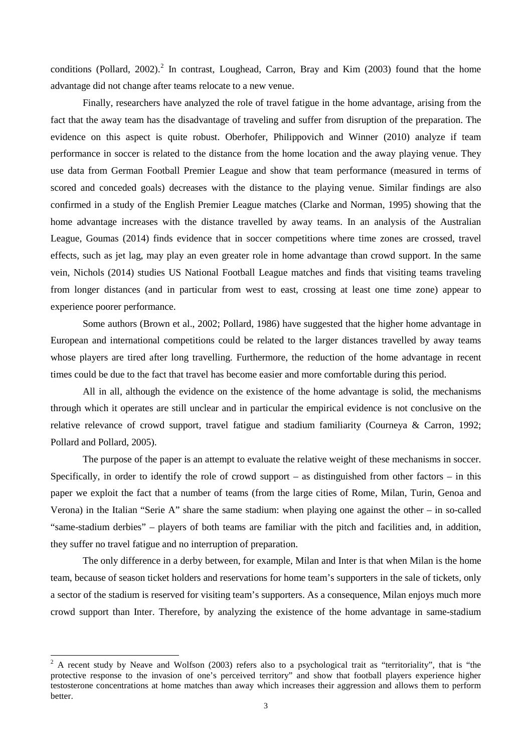conditions (Pollard, [2](#page-3-0)002).<sup>2</sup> In contrast, Loughead, Carron, Bray and Kim (2003) found that the home advantage did not change after teams relocate to a new venue.

Finally, researchers have analyzed the role of travel fatigue in the home advantage, arising from the fact that the away team has the disadvantage of traveling and suffer from disruption of the preparation. The evidence on this aspect is quite robust. Oberhofer, Philippovich and Winner (2010) analyze if team performance in soccer is related to the distance from the home location and the away playing venue. They use data from German Football Premier League and show that team performance (measured in terms of scored and conceded goals) decreases with the distance to the playing venue. Similar findings are also confirmed in a study of the English Premier League matches (Clarke and Norman, 1995) showing that the home advantage increases with the distance travelled by away teams. In an analysis of the Australian League, Goumas (2014) finds evidence that in soccer competitions where time zones are crossed, travel effects, such as jet lag, may play an even greater role in home advantage than crowd support. In the same vein, Nichols (2014) studies US National Football League matches and finds that visiting teams traveling from longer distances (and in particular from west to east, crossing at least one time zone) appear to experience poorer performance.

Some authors (Brown et al., 2002; Pollard, 1986) have suggested that the higher home advantage in European and international competitions could be related to the larger distances travelled by away teams whose players are tired after long travelling. Furthermore, the reduction of the home advantage in recent times could be due to the fact that travel has become easier and more comfortable during this period.

All in all, although the evidence on the existence of the home advantage is solid, the mechanisms through which it operates are still unclear and in particular the empirical evidence is not conclusive on the relative relevance of crowd support, travel fatigue and stadium familiarity (Courneya & Carron, 1992; Pollard and Pollard, 2005).

The purpose of the paper is an attempt to evaluate the relative weight of these mechanisms in soccer. Specifically, in order to identify the role of crowd support – as distinguished from other factors – in this paper we exploit the fact that a number of teams (from the large cities of Rome, Milan, Turin, Genoa and Verona) in the Italian "Serie A" share the same stadium: when playing one against the other – in so-called "same-stadium derbies" – players of both teams are familiar with the pitch and facilities and, in addition, they suffer no travel fatigue and no interruption of preparation.

The only difference in a derby between, for example, Milan and Inter is that when Milan is the home team, because of season ticket holders and reservations for home team's supporters in the sale of tickets, only a sector of the stadium is reserved for visiting team's supporters. As a consequence, Milan enjoys much more crowd support than Inter. Therefore, by analyzing the existence of the home advantage in same-stadium

<span id="page-4-0"></span> $2$  A recent study by Neave and Wolfson (2003) refers also to a psychological trait as "territoriality", that is "the protective response to the invasion of one's perceived territory" and show that football players experience higher testosterone concentrations at home matches than away which increases their aggression and allows them to perform better.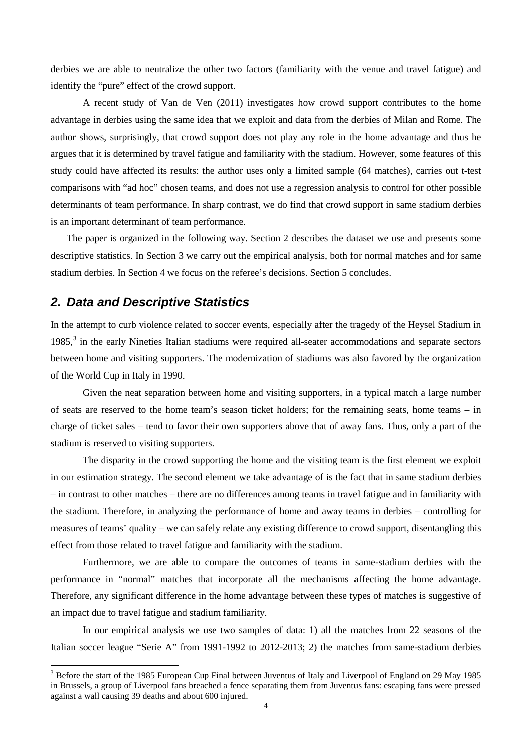derbies we are able to neutralize the other two factors (familiarity with the venue and travel fatigue) and identify the "pure" effect of the crowd support.

A recent study of Van de Ven (2011) investigates how crowd support contributes to the home advantage in derbies using the same idea that we exploit and data from the derbies of Milan and Rome. The author shows, surprisingly, that crowd support does not play any role in the home advantage and thus he argues that it is determined by travel fatigue and familiarity with the stadium. However, some features of this study could have affected its results: the author uses only a limited sample (64 matches), carries out t-test comparisons with "ad hoc" chosen teams, and does not use a regression analysis to control for other possible determinants of team performance. In sharp contrast, we do find that crowd support in same stadium derbies is an important determinant of team performance.

The paper is organized in the following way. Section 2 describes the dataset we use and presents some descriptive statistics. In Section 3 we carry out the empirical analysis, both for normal matches and for same stadium derbies. In Section 4 we focus on the referee's decisions. Section 5 concludes.

#### *2. Data and Descriptive Statistics*

In the attempt to curb violence related to soccer events, especially after the tragedy of the Heysel Stadium in 1985,<sup>[3](#page-4-0)</sup> in the early Nineties Italian stadiums were required all-seater accommodations and separate sectors between home and visiting supporters. The modernization of stadiums was also favored by the organization of the World Cup in Italy in 1990.

Given the neat separation between home and visiting supporters, in a typical match a large number of seats are reserved to the home team's season ticket holders; for the remaining seats, home teams – in charge of ticket sales – tend to favor their own supporters above that of away fans. Thus, only a part of the stadium is reserved to visiting supporters.

The disparity in the crowd supporting the home and the visiting team is the first element we exploit in our estimation strategy. The second element we take advantage of is the fact that in same stadium derbies – in contrast to other matches – there are no differences among teams in travel fatigue and in familiarity with the stadium. Therefore, in analyzing the performance of home and away teams in derbies – controlling for measures of teams' quality – we can safely relate any existing difference to crowd support, disentangling this effect from those related to travel fatigue and familiarity with the stadium.

Furthermore, we are able to compare the outcomes of teams in same-stadium derbies with the performance in "normal" matches that incorporate all the mechanisms affecting the home advantage. Therefore, any significant difference in the home advantage between these types of matches is suggestive of an impact due to travel fatigue and stadium familiarity.

In our empirical analysis we use two samples of data: 1) all the matches from 22 seasons of the Italian soccer league "Serie A" from 1991-1992 to 2012-2013; 2) the matches from same-stadium derbies

<span id="page-5-0"></span><sup>&</sup>lt;sup>3</sup> Before the start of the 1985 European Cup Final between Juventus of Italy and Liverpool of England on 29 May 1985 in Brussels, a group of Liverpool fans breached a fence separating them from Juventus fans: escaping fans were pressed against a wall causing 39 deaths and about 600 injured.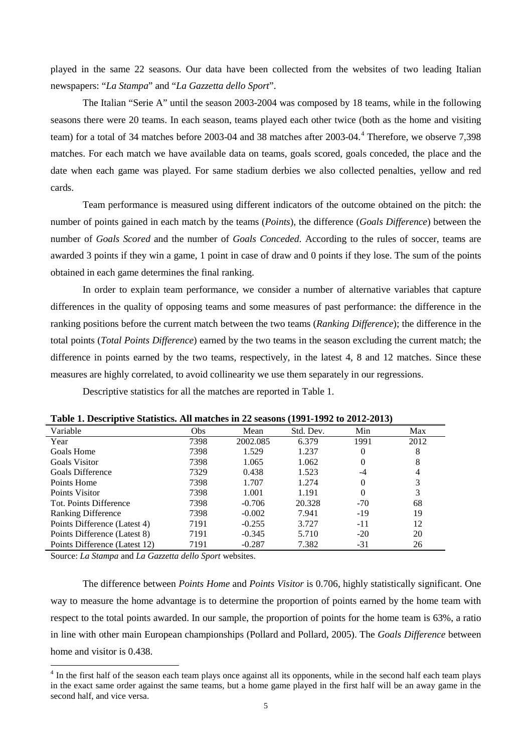played in the same 22 seasons. Our data have been collected from the websites of two leading Italian newspapers: "*La Stampa*" and "*La Gazzetta dello Sport*".

The Italian "Serie A" until the season 2003-2004 was composed by 18 teams, while in the following seasons there were 20 teams. In each season, teams played each other twice (both as the home and visiting team) for a total of 3[4](#page-5-0) matches before 2003-04 and 38 matches after 2003-04.<sup>4</sup> Therefore, we observe 7,398 matches. For each match we have available data on teams, goals scored, goals conceded, the place and the date when each game was played. For same stadium derbies we also collected penalties, yellow and red cards.

Team performance is measured using different indicators of the outcome obtained on the pitch: the number of points gained in each match by the teams (*Points*), the difference (*Goals Difference*) between the number of *Goals Scored* and the number of *Goals Conceded*. According to the rules of soccer, teams are awarded 3 points if they win a game, 1 point in case of draw and 0 points if they lose. The sum of the points obtained in each game determines the final ranking.

In order to explain team performance, we consider a number of alternative variables that capture differences in the quality of opposing teams and some measures of past performance: the difference in the ranking positions before the current match between the two teams (*Ranking Difference*); the difference in the total points (*Total Points Difference*) earned by the two teams in the season excluding the current match; the difference in points earned by the two teams, respectively, in the latest 4, 8 and 12 matches. Since these measures are highly correlated, to avoid collinearity we use them separately in our regressions.

Descriptive statistics for all the matches are reported in Table 1.

| Variable                      | <b>Obs</b> | Mean     | Std. Dev. | Min      | Max  |
|-------------------------------|------------|----------|-----------|----------|------|
| Year                          | 7398       | 2002.085 | 6.379     | 1991     | 2012 |
| Goals Home                    | 7398       | 1.529    | 1.237     | 0        | 8    |
| Goals Visitor                 | 7398       | 1.065    | 1.062     | $\theta$ | 8    |
| <b>Goals Difference</b>       | 7329       | 0.438    | 1.523     | -4       | 4    |
| Points Home                   | 7398       | 1.707    | 1.274     | $\Omega$ | 3    |
| Points Visitor                | 7398       | 1.001    | 1.191     | $\theta$ | 3    |
| Tot. Points Difference        | 7398       | $-0.706$ | 20.328    | $-70$    | 68   |
| <b>Ranking Difference</b>     | 7398       | $-0.002$ | 7.941     | $-19$    | 19   |
| Points Difference (Latest 4)  | 7191       | $-0.255$ | 3.727     | $-11$    | 12   |
| Points Difference (Latest 8)  | 7191       | $-0.345$ | 5.710     | $-20$    | 20   |
| Points Difference (Latest 12) | 7191       | $-0.287$ | 7.382     | $-31$    | 26   |

**Table 1. Descriptive Statistics. All matches in 22 seasons (1991-1992 to 2012-2013)**

Source: *La Stampa* and *La Gazzetta dello Sport* websites.

The difference between *Points Home* and *Points Visitor* is 0.706, highly statistically significant. One way to measure the home advantage is to determine the proportion of points earned by the home team with respect to the total points awarded. In our sample, the proportion of points for the home team is 63%, a ratio in line with other main European championships (Pollard and Pollard, 2005). The *Goals Difference* between home and visitor is 0.438.

<span id="page-6-0"></span><sup>&</sup>lt;sup>4</sup> In the first half of the season each team plays once against all its opponents, while in the second half each team plays in the exact same order against the same teams, but a home game played in the first half will be an away game in the second half, and vice versa.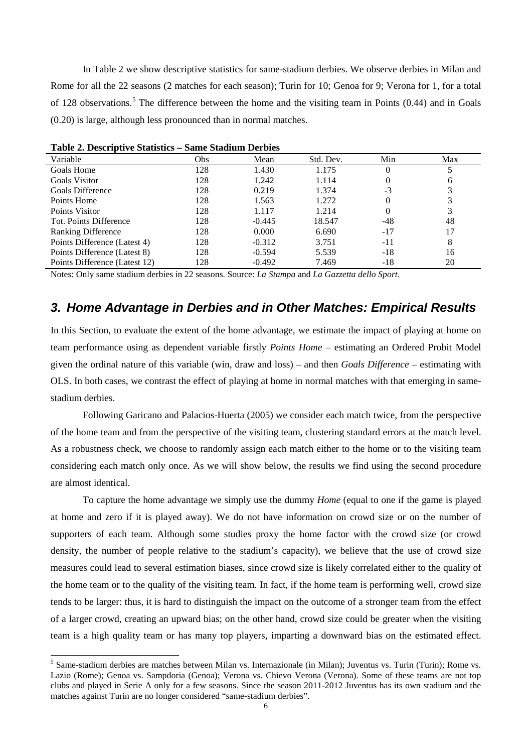In Table 2 we show descriptive statistics for same-stadium derbies. We observe derbies in Milan and Rome for all the 22 seasons (2 matches for each season); Turin for 10; Genoa for 9; Verona for 1, for a total of 128 observations.<sup>[5](#page-6-0)</sup> The difference between the home and the visiting team in Points  $(0.44)$  and in Goals (0.20) is large, although less pronounced than in normal matches.

| Variable                      | Obs | Mean     | Std. Dev. | Min   | Max |
|-------------------------------|-----|----------|-----------|-------|-----|
| Goals Home                    | 128 | 1.430    | 1.175     | O     |     |
| <b>Goals Visitor</b>          | 128 | 1.242    | 1.114     |       | h   |
| Goals Difference              | 128 | 0.219    | 1.374     | $-3$  |     |
| Points Home                   | 128 | 1.563    | 1.272     | 0     |     |
| Points Visitor                | 128 | 1.117    | 1.214     |       |     |
| Tot. Points Difference        | 128 | $-0.445$ | 18.547    | -48   | 48  |
| <b>Ranking Difference</b>     | 128 | 0.000    | 6.690     | $-17$ | 17  |
| Points Difference (Latest 4)  | 128 | $-0.312$ | 3.751     | -11   | 8   |
| Points Difference (Latest 8)  | 128 | $-0.594$ | 5.539     | -18   | 16  |
| Points Difference (Latest 12) | 128 | $-0.492$ | 7.469     | -18   | 20  |

| Table 2. Descriptive Statistics - Same Stadium Derbies |  |  |  |
|--------------------------------------------------------|--|--|--|
|--------------------------------------------------------|--|--|--|

Notes: Only same stadium derbies in 22 seasons. Source: *La Stampa* and *La Gazzetta dello Sport*.

#### *3. Home Advantage in Derbies and in Other Matches: Empirical Results*

In this Section, to evaluate the extent of the home advantage, we estimate the impact of playing at home on team performance using as dependent variable firstly *Points Home* – estimating an Ordered Probit Model given the ordinal nature of this variable (win, draw and loss) – and then *Goals Difference* – estimating with OLS. In both cases, we contrast the effect of playing at home in normal matches with that emerging in samestadium derbies.

Following Garicano and Palacios-Huerta (2005) we consider each match twice, from the perspective of the home team and from the perspective of the visiting team, clustering standard errors at the match level. As a robustness check, we choose to randomly assign each match either to the home or to the visiting team considering each match only once. As we will show below, the results we find using the second procedure are almost identical.

To capture the home advantage we simply use the dummy *Home* (equal to one if the game is played at home and zero if it is played away). We do not have information on crowd size or on the number of supporters of each team. Although some studies proxy the home factor with the crowd size (or crowd density, the number of people relative to the stadium's capacity), we believe that the use of crowd size measures could lead to several estimation biases, since crowd size is likely correlated either to the quality of the home team or to the quality of the visiting team. In fact, if the home team is performing well, crowd size tends to be larger: thus, it is hard to distinguish the impact on the outcome of a stronger team from the effect of a larger crowd, creating an upward bias; on the other hand, crowd size could be greater when the visiting team is a high quality team or has many top players, imparting a downward bias on the estimated effect.

<span id="page-7-0"></span><sup>&</sup>lt;sup>5</sup> Same-stadium derbies are matches between Milan vs. Internazionale (in Milan); Juventus vs. Turin (Turin); Rome vs. Lazio (Rome); Genoa vs. Sampdoria (Genoa); Verona vs. Chievo Verona (Verona). Some of these teams are not top clubs and played in Serie A only for a few seasons. Since the season 2011-2012 Juventus has its own stadium and the matches against Turin are no longer considered "same-stadium derbies".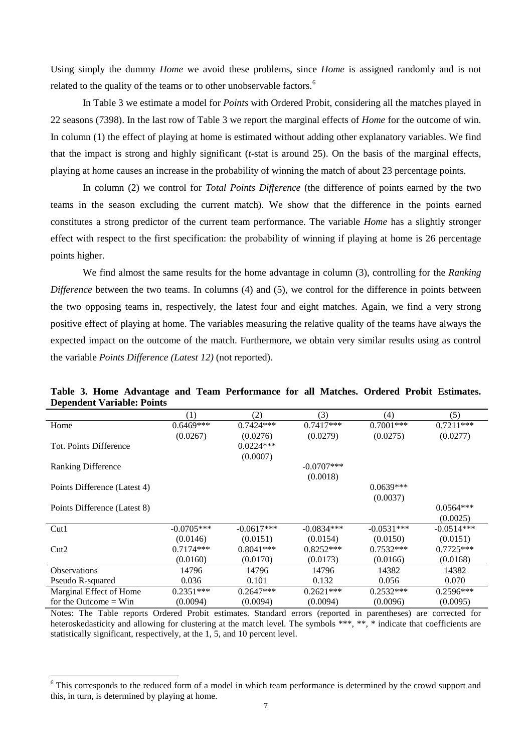Using simply the dummy *Home* we avoid these problems, since *Home* is assigned randomly and is not related to the quality of the teams or to other unobservable factors.<sup>[6](#page-7-0)</sup>

In Table 3 we estimate a model for *Points* with Ordered Probit, considering all the matches played in 22 seasons (7398). In the last row of Table 3 we report the marginal effects of *Home* for the outcome of win. In column (1) the effect of playing at home is estimated without adding other explanatory variables. We find that the impact is strong and highly significant (*t*-stat is around 25). On the basis of the marginal effects, playing at home causes an increase in the probability of winning the match of about 23 percentage points.

In column (2) we control for *Total Points Difference* (the difference of points earned by the two teams in the season excluding the current match). We show that the difference in the points earned constitutes a strong predictor of the current team performance. The variable *Home* has a slightly stronger effect with respect to the first specification: the probability of winning if playing at home is 26 percentage points higher.

We find almost the same results for the home advantage in column (3), controlling for the *Ranking Difference* between the two teams. In columns (4) and (5), we control for the difference in points between the two opposing teams in, respectively, the latest four and eight matches. Again, we find a very strong positive effect of playing at home. The variables measuring the relative quality of the teams have always the expected impact on the outcome of the match. Furthermore, we obtain very similar results using as control the variable *Points Difference (Latest 12)* (not reported).

|  |                                   |  | Table 3. Home Advantage and Team Performance for all Matches. Ordered Probit Estimates. |  |  |  |
|--|-----------------------------------|--|-----------------------------------------------------------------------------------------|--|--|--|
|  | <b>Dependent Variable: Points</b> |  |                                                                                         |  |  |  |

|                              | (1)          | (2)          | (3)           | (4)          | (5)          |
|------------------------------|--------------|--------------|---------------|--------------|--------------|
| Home                         | $0.6469***$  | $0.7424***$  | $0.7417***$   | $0.7001***$  | $0.7211***$  |
|                              | (0.0267)     | (0.0276)     | (0.0279)      | (0.0275)     | (0.0277)     |
| Tot. Points Difference       |              | $0.0224***$  |               |              |              |
|                              |              | (0.0007)     |               |              |              |
| <b>Ranking Difference</b>    |              |              | $-0.0707$ *** |              |              |
|                              |              |              | (0.0018)      |              |              |
| Points Difference (Latest 4) |              |              |               | $0.0639***$  |              |
|                              |              |              |               | (0.0037)     |              |
| Points Difference (Latest 8) |              |              |               |              | $0.0564***$  |
|                              |              |              |               |              | (0.0025)     |
| Cut1                         | $-0.0705***$ | $-0.0617***$ | $-0.0834***$  | $-0.0531***$ | $-0.0514***$ |
|                              | (0.0146)     | (0.0151)     | (0.0154)      | (0.0150)     | (0.0151)     |
| Cut2                         | $0.7174***$  | $0.8041***$  | $0.8252***$   | $0.7532***$  | $0.7725***$  |
|                              | (0.0160)     | (0.0170)     | (0.0173)      | (0.0166)     | (0.0168)     |
| <b>Observations</b>          | 14796        | 14796        | 14796         | 14382        | 14382        |
| Pseudo R-squared             | 0.036        | 0.101        | 0.132         | 0.056        | 0.070        |
| Marginal Effect of Home      | $0.2351***$  | $0.2647***$  | $0.2621***$   | $0.2532***$  | $0.2596***$  |
| for the Outcome $=$ Win      | (0.0094)     | (0.0094)     | (0.0094)      | (0.0096)     | (0.0095)     |

Notes: The Table reports Ordered Probit estimates. Standard errors (reported in parentheses) are corrected for heteroskedasticity and allowing for clustering at the match level. The symbols \*\*\*, \*\*, \* indicate that coefficients are statistically significant, respectively, at the 1, 5, and 10 percent level.

<span id="page-8-0"></span><sup>&</sup>lt;sup>6</sup> This corresponds to the reduced form of a model in which team performance is determined by the crowd support and this, in turn, is determined by playing at home.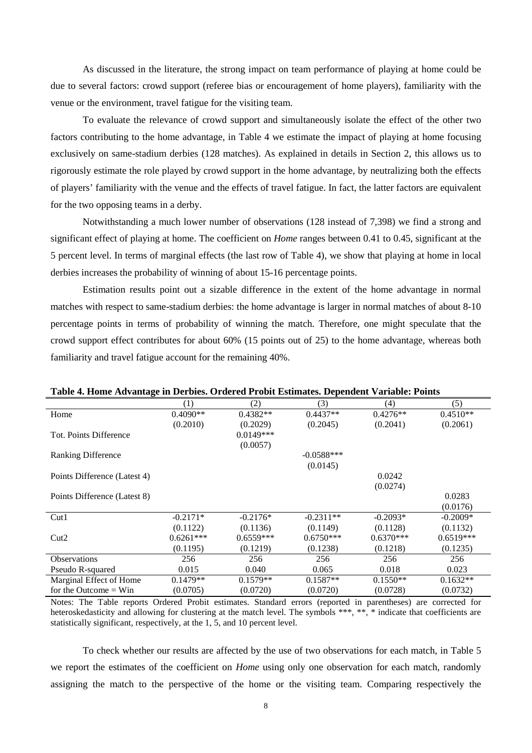As discussed in the literature, the strong impact on team performance of playing at home could be due to several factors: crowd support (referee bias or encouragement of home players), familiarity with the venue or the environment, travel fatigue for the visiting team.

To evaluate the relevance of crowd support and simultaneously isolate the effect of the other two factors contributing to the home advantage, in Table 4 we estimate the impact of playing at home focusing exclusively on same-stadium derbies (128 matches). As explained in details in Section 2, this allows us to rigorously estimate the role played by crowd support in the home advantage, by neutralizing both the effects of players' familiarity with the venue and the effects of travel fatigue. In fact, the latter factors are equivalent for the two opposing teams in a derby.

Notwithstanding a much lower number of observations (128 instead of 7,398) we find a strong and significant effect of playing at home. The coefficient on *Home* ranges between 0.41 to 0.45, significant at the 5 percent level. In terms of marginal effects (the last row of Table 4), we show that playing at home in local derbies increases the probability of winning of about 15-16 percentage points.

Estimation results point out a sizable difference in the extent of the home advantage in normal matches with respect to same-stadium derbies: the home advantage is larger in normal matches of about 8-10 percentage points in terms of probability of winning the match. Therefore, one might speculate that the crowd support effect contributes for about 60% (15 points out of 25) to the home advantage, whereas both familiarity and travel fatigue account for the remaining 40%.

| °                            |             |             |              |             |             |
|------------------------------|-------------|-------------|--------------|-------------|-------------|
|                              | (1)         | (2)         | (3)          | (4)         | (5)         |
| Home                         | $0.4090**$  | $0.4382**$  | $0.4437**$   | $0.4276**$  | $0.4510**$  |
|                              | (0.2010)    | (0.2029)    | (0.2045)     | (0.2041)    | (0.2061)    |
| Tot. Points Difference       |             | $0.0149***$ |              |             |             |
|                              |             | (0.0057)    |              |             |             |
| <b>Ranking Difference</b>    |             |             | $-0.0588***$ |             |             |
|                              |             |             | (0.0145)     |             |             |
| Points Difference (Latest 4) |             |             |              | 0.0242      |             |
|                              |             |             |              | (0.0274)    |             |
| Points Difference (Latest 8) |             |             |              |             | 0.0283      |
|                              |             |             |              |             | (0.0176)    |
| Cut1                         | $-0.2171*$  | $-0.2176*$  | $-0.2311**$  | $-0.2093*$  | $-0.2009*$  |
|                              | (0.1122)    | (0.1136)    | (0.1149)     | (0.1128)    | (0.1132)    |
| Cut2                         | $0.6261***$ | $0.6559***$ | $0.6750***$  | $0.6370***$ | $0.6519***$ |
|                              | (0.1195)    | (0.1219)    | (0.1238)     | (0.1218)    | (0.1235)    |
| <b>Observations</b>          | 256         | 256         | 256          | 256         | 256         |
| Pseudo R-squared             | 0.015       | 0.040       | 0.065        | 0.018       | 0.023       |
| Marginal Effect of Home      | $0.1479**$  | $0.1579**$  | $0.1587**$   | $0.1550**$  | $0.1632**$  |
| for the Outcome $=$ Win      | (0.0705)    | (0.0720)    | (0.0720)     | (0.0728)    | (0.0732)    |

**Table 4. Home Advantage in Derbies. Ordered Probit Estimates. Dependent Variable: Points**

Notes: The Table reports Ordered Probit estimates. Standard errors (reported in parentheses) are corrected for heteroskedasticity and allowing for clustering at the match level. The symbols \*\*\*, \*\*, \* indicate that coefficients are statistically significant, respectively, at the 1, 5, and 10 percent level.

To check whether our results are affected by the use of two observations for each match, in Table 5 we report the estimates of the coefficient on *Home* using only one observation for each match, randomly assigning the match to the perspective of the home or the visiting team. Comparing respectively the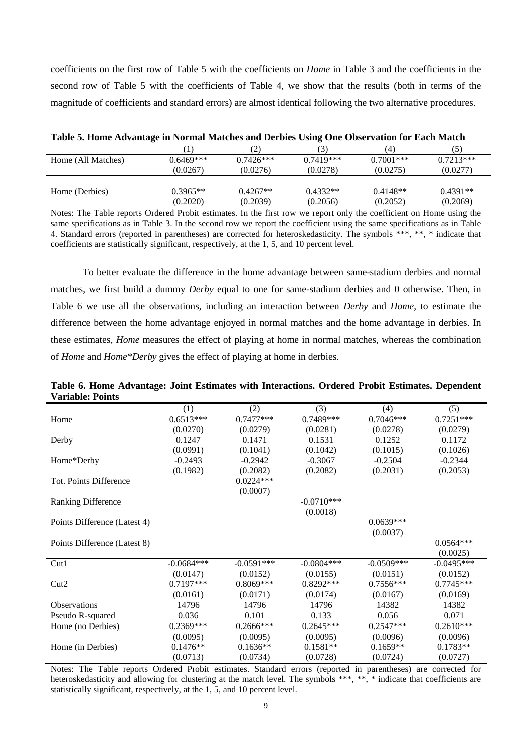coefficients on the first row of Table 5 with the coefficients on *Home* in Table 3 and the coefficients in the second row of Table 5 with the coefficients of Table 4, we show that the results (both in terms of the magnitude of coefficients and standard errors) are almost identical following the two alternative procedures.

| Table 5. Home Advantage in Normal Matches and Derbies Using One Observation for Each Match |             |             |             |              |             |  |  |  |  |
|--------------------------------------------------------------------------------------------|-------------|-------------|-------------|--------------|-------------|--|--|--|--|
|                                                                                            |             | (2)         | (3)         | (4)          |             |  |  |  |  |
| Home (All Matches)                                                                         | $0.6469***$ | $0.7426***$ | $0.7419***$ | $0.7001$ *** | $0.7213***$ |  |  |  |  |
|                                                                                            | (0.0267)    | (0.0276)    | (0.0278)    | (0.0275)     | (0.0277)    |  |  |  |  |
|                                                                                            |             |             |             |              |             |  |  |  |  |
| Home (Derbies)                                                                             | $0.3965**$  | $0.4267**$  | $0.4332**$  | $0.4148**$   | $0.4391**$  |  |  |  |  |
|                                                                                            | (0.2020)    | (0.2039)    | (0.2056)    | (0.2052)     | (0.2069)    |  |  |  |  |

Notes: The Table reports Ordered Probit estimates. In the first row we report only the coefficient on Home using the same specifications as in Table 3. In the second row we report the coefficient using the same specifications as in Table 4. Standard errors (reported in parentheses) are corrected for heteroskedasticity. The symbols \*\*\*, \*\*, \* indicate that coefficients are statistically significant, respectively, at the 1, 5, and 10 percent level.

To better evaluate the difference in the home advantage between same-stadium derbies and normal matches, we first build a dummy *Derby* equal to one for same-stadium derbies and 0 otherwise. Then, in Table 6 we use all the observations, including an interaction between *Derby* and *Home*, to estimate the difference between the home advantage enjoyed in normal matches and the home advantage in derbies. In these estimates, *Home* measures the effect of playing at home in normal matches, whereas the combination of *Home* and *Home\*Derby* gives the effect of playing at home in derbies.

| Table 6. Home Advantage: Joint Estimates with Interactions. Ordered Probit Estimates. Dependent |  |  |  |
|-------------------------------------------------------------------------------------------------|--|--|--|
| <b>Variable: Points</b>                                                                         |  |  |  |

|                              | (1)          | (2)          | (3)          | (4)           | (5)          |
|------------------------------|--------------|--------------|--------------|---------------|--------------|
| Home                         | $0.6513***$  | $0.7477***$  | 0.7489***    | $0.7046***$   | $0.7251***$  |
|                              | (0.0270)     | (0.0279)     | (0.0281)     | (0.0278)      | (0.0279)     |
| Derby                        | 0.1247       | 0.1471       | 0.1531       | 0.1252        | 0.1172       |
|                              | (0.0991)     | (0.1041)     | (0.1042)     | (0.1015)      | (0.1026)     |
| Home*Derby                   | $-0.2493$    | $-0.2942$    | $-0.3067$    | $-0.2504$     | $-0.2344$    |
|                              | (0.1982)     | (0.2082)     | (0.2082)     | (0.2031)      | (0.2053)     |
| Tot. Points Difference       |              | $0.0224***$  |              |               |              |
|                              |              | (0.0007)     |              |               |              |
| <b>Ranking Difference</b>    |              |              | $-0.0710***$ |               |              |
|                              |              |              | (0.0018)     |               |              |
| Points Difference (Latest 4) |              |              |              | $0.0639***$   |              |
|                              |              |              |              | (0.0037)      |              |
| Points Difference (Latest 8) |              |              |              |               | $0.0564***$  |
|                              |              |              |              |               | (0.0025)     |
| Cut1                         | $-0.0684***$ | $-0.0591***$ | $-0.0804***$ | $-0.0509$ *** | $-0.0495***$ |
|                              | (0.0147)     | (0.0152)     | (0.0155)     | (0.0151)      | (0.0152)     |
| Cut2                         | $0.7197***$  | $0.8069***$  | $0.8292***$  | $0.7556***$   | $0.7745***$  |
|                              | (0.0161)     | (0.0171)     | (0.0174)     | (0.0167)      | (0.0169)     |
| <b>Observations</b>          | 14796        | 14796        | 14796        | 14382         | 14382        |
| Pseudo R-squared             | 0.036        | 0.101        | 0.133        | 0.056         | 0.071        |
| Home (no Derbies)            | $0.2369***$  | $0.2666***$  | $0.2645***$  | $0.2547***$   | $0.2610***$  |
|                              | (0.0095)     | (0.0095)     | (0.0095)     | (0.0096)      | (0.0096)     |
| Home (in Derbies)            | $0.1476**$   | $0.1636**$   | $0.1581**$   | $0.1659**$    | $0.1783**$   |
|                              | (0.0713)     | (0.0734)     | (0.0728)     | (0.0724)      | (0.0727)     |

Notes: The Table reports Ordered Probit estimates. Standard errors (reported in parentheses) are corrected for heteroskedasticity and allowing for clustering at the match level. The symbols \*\*\*, \*\*, \* indicate that coefficients are statistically significant, respectively, at the 1, 5, and 10 percent level.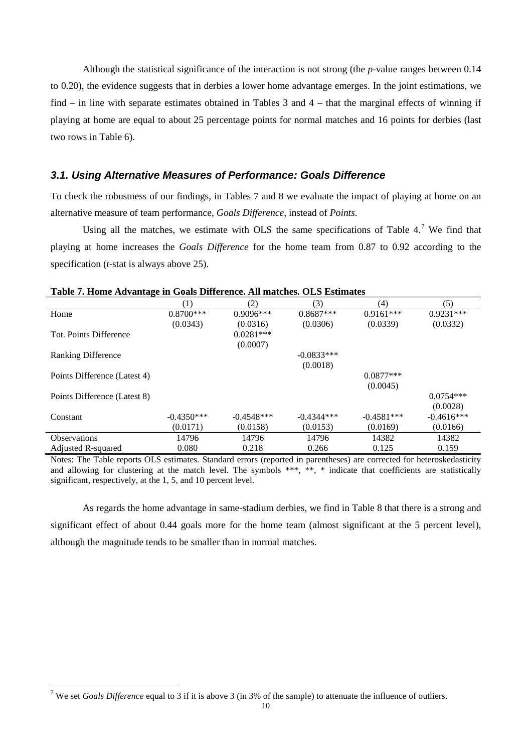Although the statistical significance of the interaction is not strong (the *p*-value ranges between 0.14 to 0.20), the evidence suggests that in derbies a lower home advantage emerges. In the joint estimations, we find – in line with separate estimates obtained in Tables 3 and 4 – that the marginal effects of winning if playing at home are equal to about 25 percentage points for normal matches and 16 points for derbies (last two rows in Table 6).

#### *3.1. Using Alternative Measures of Performance: Goals Difference*

To check the robustness of our findings, in Tables 7 and 8 we evaluate the impact of playing at home on an alternative measure of team performance, *Goals Difference*, instead of *Points*.

Using all the matches, we estimate with OLS the same specifications of Table  $4.^7$  $4.^7$ . We find that playing at home increases the *Goals Difference* for the home team from 0.87 to 0.92 according to the specification (*t*-stat is always above 25).

|                              | $\left(1\right)$ | (2)          | (3)          | (4)          | (5)          |
|------------------------------|------------------|--------------|--------------|--------------|--------------|
| Home                         | $0.8700***$      | $0.9096***$  | $0.8687***$  | $0.9161***$  | $0.9231***$  |
|                              | (0.0343)         | (0.0316)     | (0.0306)     | (0.0339)     | (0.0332)     |
| Tot. Points Difference       |                  | $0.0281***$  |              |              |              |
|                              |                  | (0.0007)     |              |              |              |
| <b>Ranking Difference</b>    |                  |              | $-0.0833***$ |              |              |
|                              |                  |              | (0.0018)     |              |              |
| Points Difference (Latest 4) |                  |              |              | $0.0877***$  |              |
|                              |                  |              |              | (0.0045)     |              |
| Points Difference (Latest 8) |                  |              |              |              | $0.0754***$  |
|                              |                  |              |              |              | (0.0028)     |
| Constant                     | $-0.4350***$     | $-0.4548***$ | $-0.4344***$ | $-0.4581***$ | $-0.4616***$ |
|                              | (0.0171)         | (0.0158)     | (0.0153)     | (0.0169)     | (0.0166)     |
| <b>Observations</b>          | 14796            | 14796        | 14796        | 14382        | 14382        |
| <b>Adjusted R-squared</b>    | 0.080            | 0.218        | 0.266        | 0.125        | 0.159        |

**Table 7. Home Advantage in Goals Difference. All matches. OLS Estimates**

Notes: The Table reports OLS estimates. Standard errors (reported in parentheses) are corrected for heteroskedasticity and allowing for clustering at the match level. The symbols \*\*\*, \*\*, \* indicate that coefficients are statistically significant, respectively, at the 1, 5, and 10 percent level.

As regards the home advantage in same-stadium derbies, we find in Table 8 that there is a strong and significant effect of about 0.44 goals more for the home team (almost significant at the 5 percent level), although the magnitude tends to be smaller than in normal matches.

 <sup>7</sup> We set *Goals Difference* equal to 3 if it is above 3 (in 3% of the sample) to attenuate the influence of outliers.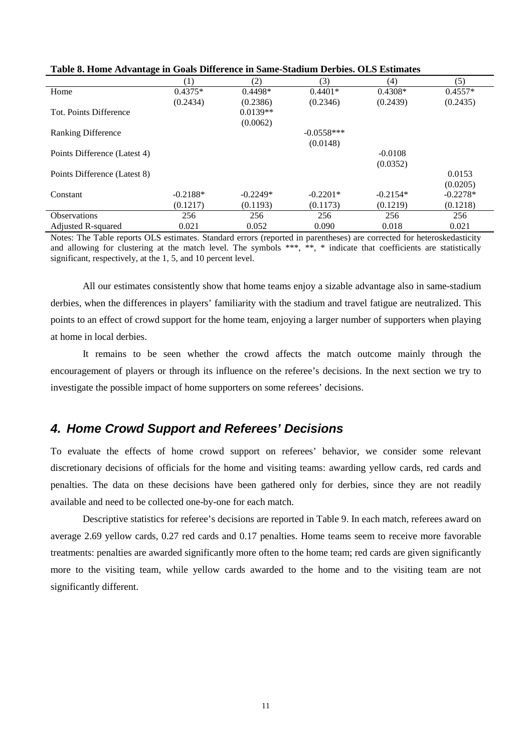| -9- --- --                   |            |            |              |            |            |  |  |  |  |
|------------------------------|------------|------------|--------------|------------|------------|--|--|--|--|
|                              | (1)        | (2)        | (3)          | (4)        | (5)        |  |  |  |  |
| Home                         | $0.4375*$  | $0.4498*$  | $0.4401*$    | $0.4308*$  | $0.4557*$  |  |  |  |  |
|                              | (0.2434)   | (0.2386)   | (0.2346)     | (0.2439)   | (0.2435)   |  |  |  |  |
| Tot. Points Difference       |            | $0.0139**$ |              |            |            |  |  |  |  |
|                              |            | (0.0062)   |              |            |            |  |  |  |  |
| <b>Ranking Difference</b>    |            |            | $-0.0558***$ |            |            |  |  |  |  |
|                              |            |            | (0.0148)     |            |            |  |  |  |  |
| Points Difference (Latest 4) |            |            |              | $-0.0108$  |            |  |  |  |  |
|                              |            |            |              | (0.0352)   |            |  |  |  |  |
| Points Difference (Latest 8) |            |            |              |            | 0.0153     |  |  |  |  |
|                              |            |            |              |            | (0.0205)   |  |  |  |  |
| Constant                     | $-0.2188*$ | $-0.2249*$ | $-0.2201*$   | $-0.2154*$ | $-0.2278*$ |  |  |  |  |
|                              | (0.1217)   | (0.1193)   | (0.1173)     | (0.1219)   | (0.1218)   |  |  |  |  |
| <b>Observations</b>          | 256        | 256        | 256          | 256        | 256        |  |  |  |  |
| <b>Adjusted R-squared</b>    | 0.021      | 0.052      | 0.090        | 0.018      | 0.021      |  |  |  |  |

**Table 8. Home Advantage in Goals Difference in Same-Stadium Derbies. OLS Estimates**

Notes: The Table reports OLS estimates. Standard errors (reported in parentheses) are corrected for heteroskedasticity and allowing for clustering at the match level. The symbols \*\*\*, \*\*, \* indicate that coefficients are statistically significant, respectively, at the 1, 5, and 10 percent level.

All our estimates consistently show that home teams enjoy a sizable advantage also in same-stadium derbies, when the differences in players' familiarity with the stadium and travel fatigue are neutralized. This points to an effect of crowd support for the home team, enjoying a larger number of supporters when playing at home in local derbies.

It remains to be seen whether the crowd affects the match outcome mainly through the encouragement of players or through its influence on the referee's decisions. In the next section we try to investigate the possible impact of home supporters on some referees' decisions.

#### *4. Home Crowd Support and Referees' Decisions*

To evaluate the effects of home crowd support on referees' behavior, we consider some relevant discretionary decisions of officials for the home and visiting teams: awarding yellow cards, red cards and penalties. The data on these decisions have been gathered only for derbies, since they are not readily available and need to be collected one-by-one for each match.

Descriptive statistics for referee's decisions are reported in Table 9. In each match, referees award on average 2.69 yellow cards, 0.27 red cards and 0.17 penalties. Home teams seem to receive more favorable treatments: penalties are awarded significantly more often to the home team; red cards are given significantly more to the visiting team, while yellow cards awarded to the home and to the visiting team are not significantly different.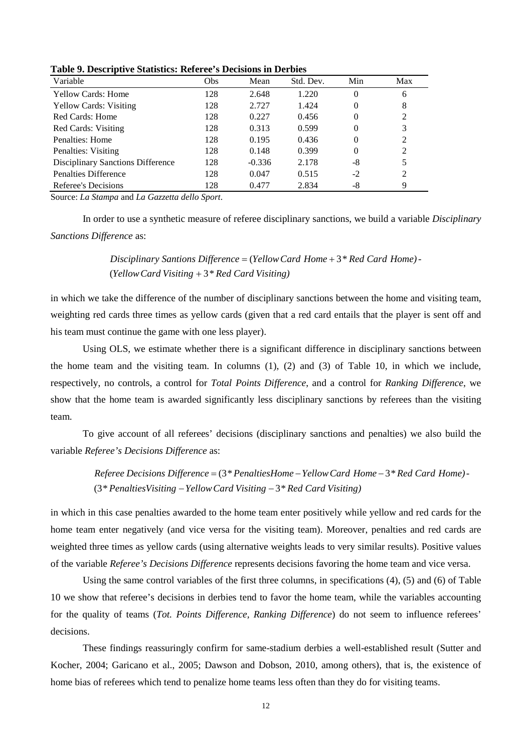| Variable                          | Obs | Mean     | Std. Dev. | Min | Max |  |
|-----------------------------------|-----|----------|-----------|-----|-----|--|
| <b>Yellow Cards: Home</b>         | 128 | 2.648    | 1.220     | 0   | 6   |  |
| <b>Yellow Cards: Visiting</b>     | 128 | 2.727    | 1.424     | 0   | 8   |  |
| Red Cards: Home                   | 128 | 0.227    | 0.456     | 0   | 2   |  |
| Red Cards: Visiting               | 128 | 0.313    | 0.599     | 0   | 3   |  |
| Penalties: Home                   | 128 | 0.195    | 0.436     | 0   | 2   |  |
| Penalties: Visiting               | 128 | 0.148    | 0.399     | 0   | 2   |  |
| Disciplinary Sanctions Difference | 128 | $-0.336$ | 2.178     | -8  | 5   |  |
| Penalties Difference              | 128 | 0.047    | 0.515     | -2  | 2   |  |
| Referee's Decisions               | 128 | 0.477    | 2.834     | -8  | 9   |  |

**Table 9. Descriptive Statistics: Referee's Decisions in Derbies**

Source: *La Stampa* and *La Gazzetta dello Sport*.

In order to use a synthetic measure of referee disciplinary sanctions, we build a variable *Disciplinary Sanctions Difference* as:

> (Yellow Card Visiting + 3<sup>\*</sup> Red Card Visiting) *Disciplinary Santions Difference* = (Yellow Card Home + 3\* Red Card Home) -

in which we take the difference of the number of disciplinary sanctions between the home and visiting team, weighting red cards three times as yellow cards (given that a red card entails that the player is sent off and his team must continue the game with one less player).

Using OLS, we estimate whether there is a significant difference in disciplinary sanctions between the home team and the visiting team. In columns (1), (2) and (3) of Table 10, in which we include, respectively, no controls, a control for *Total Points Difference*, and a control for *Ranking Difference*, we show that the home team is awarded significantly less disciplinary sanctions by referees than the visiting team.

To give account of all referees' decisions (disciplinary sanctions and penalties) we also build the variable *Referee's Decisions Difference* as:

> (3\* PenaltiesVisiting − Yellow Card Visiting − 3\* Red Card Visiting) *Referee Decisions Difference* = (3\* PenaltiesHome – Yellow Card Home – 3\* Red Card Home) -

in which in this case penalties awarded to the home team enter positively while yellow and red cards for the home team enter negatively (and vice versa for the visiting team). Moreover, penalties and red cards are weighted three times as yellow cards (using alternative weights leads to very similar results). Positive values of the variable *Referee's Decisions Difference* represents decisions favoring the home team and vice versa.

Using the same control variables of the first three columns, in specifications (4), (5) and (6) of Table 10 we show that referee's decisions in derbies tend to favor the home team, while the variables accounting for the quality of teams (*Tot. Points Difference, Ranking Difference*) do not seem to influence referees' decisions.

These findings reassuringly confirm for same-stadium derbies a well-established result (Sutter and Kocher, 2004; Garicano et al., 2005; Dawson and Dobson, 2010, among others), that is, the existence of home bias of referees which tend to penalize home teams less often than they do for visiting teams.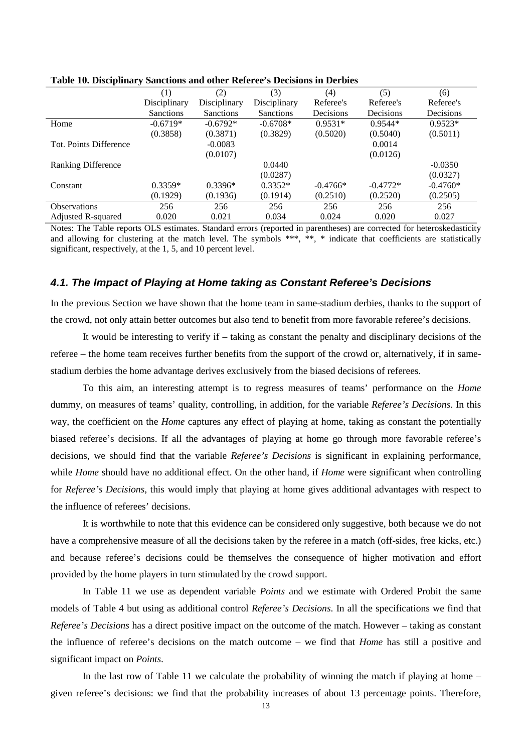|                           | (1)              | (2)          | (3)          | (4)        | (5)        | (6)        |
|---------------------------|------------------|--------------|--------------|------------|------------|------------|
|                           | Disciplinary     | Disciplinary | Disciplinary | Referee's  | Referee's  | Referee's  |
|                           | <b>Sanctions</b> | Sanctions    | Sanctions    | Decisions  | Decisions  | Decisions  |
| Home                      | $-0.6719*$       | $-0.6792*$   | $-0.6708*$   | $0.9531*$  | $0.9544*$  | $0.9523*$  |
|                           | (0.3858)         | (0.3871)     | (0.3829)     | (0.5020)   | (0.5040)   | (0.5011)   |
| Tot. Points Difference    |                  | $-0.0083$    |              |            | 0.0014     |            |
|                           |                  | (0.0107)     |              |            | (0.0126)   |            |
| <b>Ranking Difference</b> |                  |              | 0.0440       |            |            | $-0.0350$  |
|                           |                  |              | (0.0287)     |            |            | (0.0327)   |
| Constant                  | $0.3359*$        | $0.3396*$    | $0.3352*$    | $-0.4766*$ | $-0.4772*$ | $-0.4760*$ |
|                           | (0.1929)         | (0.1936)     | (0.1914)     | (0.2510)   | (0.2520)   | (0.2505)   |
| <b>Observations</b>       | 256              | 256          | 256          | 256        | 256        | 256        |
| <b>Adjusted R-squared</b> | 0.020            | 0.021        | 0.034        | 0.024      | 0.020      | 0.027      |

**Table 10. Disciplinary Sanctions and other Referee's Decisions in Derbies**

Notes: The Table reports OLS estimates. Standard errors (reported in parentheses) are corrected for heteroskedasticity and allowing for clustering at the match level. The symbols \*\*\*, \*\*, \* indicate that coefficients are statistically significant, respectively, at the 1, 5, and 10 percent level.

#### *4.1. The Impact of Playing at Home taking as Constant Referee's Decisions*

In the previous Section we have shown that the home team in same-stadium derbies, thanks to the support of the crowd, not only attain better outcomes but also tend to benefit from more favorable referee's decisions.

It would be interesting to verify if – taking as constant the penalty and disciplinary decisions of the referee – the home team receives further benefits from the support of the crowd or, alternatively, if in samestadium derbies the home advantage derives exclusively from the biased decisions of referees.

To this aim, an interesting attempt is to regress measures of teams' performance on the *Home* dummy, on measures of teams' quality, controlling, in addition, for the variable *Referee's Decisions*. In this way, the coefficient on the *Home* captures any effect of playing at home, taking as constant the potentially biased referee's decisions. If all the advantages of playing at home go through more favorable referee's decisions, we should find that the variable *Referee's Decisions* is significant in explaining performance, while *Home* should have no additional effect. On the other hand, if *Home* were significant when controlling for *Referee's Decisions*, this would imply that playing at home gives additional advantages with respect to the influence of referees' decisions.

It is worthwhile to note that this evidence can be considered only suggestive, both because we do not have a comprehensive measure of all the decisions taken by the referee in a match (off-sides, free kicks, etc.) and because referee's decisions could be themselves the consequence of higher motivation and effort provided by the home players in turn stimulated by the crowd support.

In Table 11 we use as dependent variable *Points* and we estimate with Ordered Probit the same models of Table 4 but using as additional control *Referee's Decisions*. In all the specifications we find that *Referee's Decisions* has a direct positive impact on the outcome of the match. However – taking as constant the influence of referee's decisions on the match outcome – we find that *Home* has still a positive and significant impact on *Points*.

In the last row of Table 11 we calculate the probability of winning the match if playing at home – given referee's decisions: we find that the probability increases of about 13 percentage points. Therefore,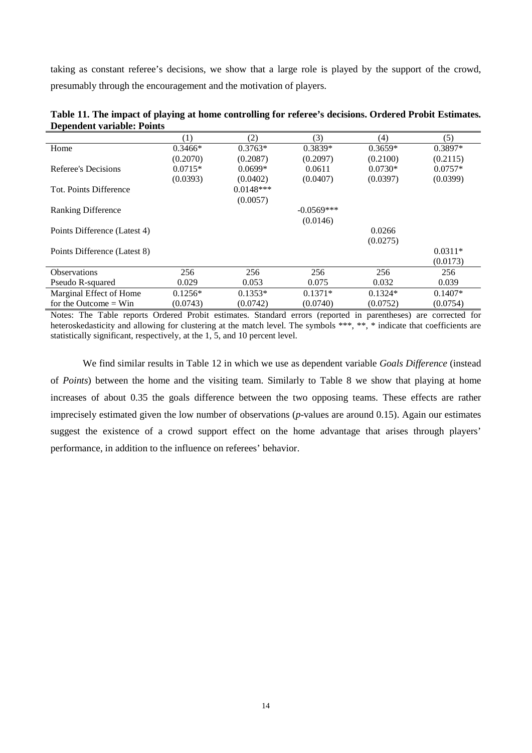taking as constant referee's decisions, we show that a large role is played by the support of the crowd, presumably through the encouragement and the motivation of players.

|                              | (1)       | (2)         | (3)          | (4)       | (5)       |
|------------------------------|-----------|-------------|--------------|-----------|-----------|
| Home                         | $0.3466*$ | $0.3763*$   | $0.3839*$    | $0.3659*$ | $0.3897*$ |
|                              | (0.2070)  | (0.2087)    | (0.2097)     | (0.2100)  | (0.2115)  |
| Referee's Decisions          | $0.0715*$ | $0.0699*$   | 0.0611       | $0.0730*$ | $0.0757*$ |
|                              | (0.0393)  | (0.0402)    | (0.0407)     | (0.0397)  | (0.0399)  |
| Tot. Points Difference       |           | $0.0148***$ |              |           |           |
|                              |           | (0.0057)    |              |           |           |
| <b>Ranking Difference</b>    |           |             | $-0.0569***$ |           |           |
|                              |           |             | (0.0146)     |           |           |
| Points Difference (Latest 4) |           |             |              | 0.0266    |           |
|                              |           |             |              | (0.0275)  |           |
| Points Difference (Latest 8) |           |             |              |           | $0.0311*$ |
|                              |           |             |              |           | (0.0173)  |
| <b>Observations</b>          | 256       | 256         | 256          | 256       | 256       |
| Pseudo R-squared             | 0.029     | 0.053       | 0.075        | 0.032     | 0.039     |
| Marginal Effect of Home      | $0.1256*$ | $0.1353*$   | $0.1371*$    | $0.1324*$ | $0.1407*$ |
| for the Outcome $=$ Win      | (0.0743)  | (0.0742)    | (0.0740)     | (0.0752)  | (0.0754)  |

| Table 11. The impact of playing at home controlling for referee's decisions. Ordered Probit Estimates. |  |
|--------------------------------------------------------------------------------------------------------|--|
| <b>Dependent variable: Points</b>                                                                      |  |

Notes: The Table reports Ordered Probit estimates. Standard errors (reported in parentheses) are corrected for heteroskedasticity and allowing for clustering at the match level. The symbols \*\*\*, \*\*, \* indicate that coefficients are statistically significant, respectively, at the 1, 5, and 10 percent level.

We find similar results in Table 12 in which we use as dependent variable *Goals Difference* (instead of *Points*) between the home and the visiting team. Similarly to Table 8 we show that playing at home increases of about 0.35 the goals difference between the two opposing teams. These effects are rather imprecisely estimated given the low number of observations (*p*-values are around 0.15). Again our estimates suggest the existence of a crowd support effect on the home advantage that arises through players' performance, in addition to the influence on referees' behavior.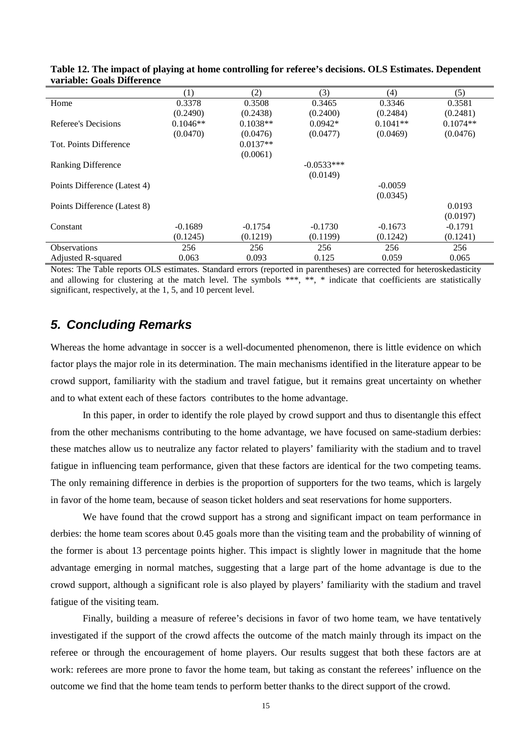| 'uluwici godio Dhiclence     |            |            |              |            |            |
|------------------------------|------------|------------|--------------|------------|------------|
|                              | (1)        | (2)        | (3)          | (4)        | (5)        |
| Home                         | 0.3378     | 0.3508     | 0.3465       | 0.3346     | 0.3581     |
|                              | (0.2490)   | (0.2438)   | (0.2400)     | (0.2484)   | (0.2481)   |
| Referee's Decisions          | $0.1046**$ | $0.1038**$ | $0.0942*$    | $0.1041**$ | $0.1074**$ |
|                              | (0.0470)   | (0.0476)   | (0.0477)     | (0.0469)   | (0.0476)   |
| Tot. Points Difference       |            | $0.0137**$ |              |            |            |
|                              |            | (0.0061)   |              |            |            |
| <b>Ranking Difference</b>    |            |            | $-0.0533***$ |            |            |
|                              |            |            | (0.0149)     |            |            |
| Points Difference (Latest 4) |            |            |              | $-0.0059$  |            |
|                              |            |            |              | (0.0345)   |            |
| Points Difference (Latest 8) |            |            |              |            | 0.0193     |
|                              |            |            |              |            | (0.0197)   |
| Constant                     | $-0.1689$  | $-0.1754$  | $-0.1730$    | $-0.1673$  | $-0.1791$  |
|                              | (0.1245)   | (0.1219)   | (0.1199)     | (0.1242)   | (0.1241)   |
| <b>Observations</b>          | 256        | 256        | 256          | 256        | 256        |
| Adjusted R-squared           | 0.063      | 0.093      | 0.125        | 0.059      | 0.065      |

**Table 12. The impact of playing at home controlling for referee's decisions. OLS Estimates. Dependent variable: Goals Difference**

Notes: The Table reports OLS estimates. Standard errors (reported in parentheses) are corrected for heteroskedasticity and allowing for clustering at the match level. The symbols \*\*\*, \*\*, \* indicate that coefficients are statistically significant, respectively, at the 1, 5, and 10 percent level.

#### *5. Concluding Remarks*

Whereas the home advantage in soccer is a well-documented phenomenon, there is little evidence on which factor plays the major role in its determination. The main mechanisms identified in the literature appear to be crowd support, familiarity with the stadium and travel fatigue, but it remains great uncertainty on whether and to what extent each of these factors contributes to the home advantage.

In this paper, in order to identify the role played by crowd support and thus to disentangle this effect from the other mechanisms contributing to the home advantage, we have focused on same-stadium derbies: these matches allow us to neutralize any factor related to players' familiarity with the stadium and to travel fatigue in influencing team performance, given that these factors are identical for the two competing teams. The only remaining difference in derbies is the proportion of supporters for the two teams, which is largely in favor of the home team, because of season ticket holders and seat reservations for home supporters.

We have found that the crowd support has a strong and significant impact on team performance in derbies: the home team scores about 0.45 goals more than the visiting team and the probability of winning of the former is about 13 percentage points higher. This impact is slightly lower in magnitude that the home advantage emerging in normal matches, suggesting that a large part of the home advantage is due to the crowd support, although a significant role is also played by players' familiarity with the stadium and travel fatigue of the visiting team.

Finally, building a measure of referee's decisions in favor of two home team, we have tentatively investigated if the support of the crowd affects the outcome of the match mainly through its impact on the referee or through the encouragement of home players. Our results suggest that both these factors are at work: referees are more prone to favor the home team, but taking as constant the referees' influence on the outcome we find that the home team tends to perform better thanks to the direct support of the crowd.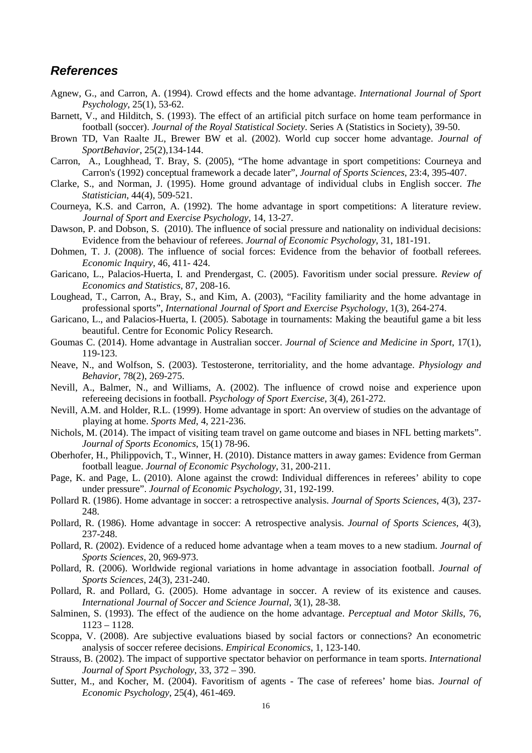#### *References*

- Agnew, G., and Carron, A. (1994). Crowd effects and the home advantage. *International Journal of Sport Psychology*, 25(1), 53-62.
- Barnett, V., and Hilditch, S. (1993). The effect of an artificial pitch surface on home team performance in football (soccer). *Journal of the Royal Statistical Society*. Series A (Statistics in Society), 39-50.
- Brown TD, Van Raalte JL, Brewer BW et al. (2002). World cup soccer home advantage. *Journal of SportBehavior*, 25(2),134-144.
- Carron, A., Loughhead, T. Bray, S. (2005), "The home advantage in sport competitions: Courneya and Carron's (1992) conceptual framework a decade later", *Journal of Sports Sciences*, 23:4, 395-407.
- Clarke, S., and Norman, J. (1995). Home ground advantage of individual clubs in English soccer. *The Statistician*, 44(4), 509-521.
- Courneya, K.S. and Carron, A. (1992). The home advantage in sport competitions: A literature review. *Journal of Sport and Exercise Psychology*, 14, 13-27.
- Dawson, P. and Dobson, S. (2010). The influence of social pressure and nationality on individual decisions: Evidence from the behaviour of referees. *Journal of Economic Psychology*, 31, 181-191.
- Dohmen, T. J. (2008). The influence of social forces: Evidence from the behavior of football referees. *Economic Inquiry*, 46, 411- 424.
- Garicano, L., Palacios-Huerta, I. and Prendergast, C. (2005). Favoritism under social pressure. *Review of Economics and Statistics*, 87, 208-16.
- Loughead, T., Carron, A., Bray, S., and Kim, A. (2003), "Facility familiarity and the home advantage in professional sports", *International Journal of Sport and Exercise Psychology*, 1(3), 264-274.
- Garicano, L., and Palacios-Huerta, I. (2005). Sabotage in tournaments: Making the beautiful game a bit less beautiful. Centre for Economic Policy Research.
- Goumas C. (2014). Home advantage in Australian soccer. *Journal of Science and Medicine in Sport*, 17(1), 119-123.
- Neave, N., and Wolfson, S. (2003). Testosterone, territoriality, and the home advantage. *Physiology and Behavior*, 78(2), 269-275.
- Nevill, A., Balmer, N., and Williams, A. (2002). The influence of crowd noise and experience upon refereeing decisions in football. *Psychology of Sport Exercise*, 3(4), 261-272.
- Nevill, A.M. and Holder, R.L. (1999). Home advantage in sport: An overview of studies on the advantage of playing at home. *Sports Med*, 4, 221-236.
- Nichols, M. (2014). The impact of visiting team travel on game outcome and biases in NFL betting markets". *Journal of Sports Economics*, 15(1) 78-96.
- Oberhofer, H., Philippovich, T., Winner, H. (2010). Distance matters in away games: Evidence from German football league. *Journal of Economic Psychology*, 31, 200-211.
- Page, K. and Page, L. (2010). Alone against the crowd: Individual differences in referees' ability to cope under pressure". *Journal of Economic Psychology*, 31, 192-199.
- Pollard R. (1986). Home advantage in soccer: a retrospective analysis. *Journal of Sports Sciences*, 4(3), 237- 248.
- Pollard, R. (1986). Home advantage in soccer: A retrospective analysis. *Journal of Sports Sciences*, 4(3), 237-248.
- Pollard, R. (2002). Evidence of a reduced home advantage when a team moves to a new stadium. *Journal of Sports Sciences*, 20, 969-973.
- Pollard, R. (2006). Worldwide regional variations in home advantage in association football. *Journal of Sports Sciences*, 24(3), 231-240.
- Pollard, R. and Pollard, G. (2005). Home advantage in soccer. A review of its existence and causes. *International Journal of Soccer and Science Journal*, 3(1), 28-38.
- Salminen, S. (1993). The effect of the audience on the home advantage. *Perceptual and Motor Skills*, 76, 1123 – 1128.
- Scoppa, V. (2008). Are subjective evaluations biased by social factors or connections? An econometric analysis of soccer referee decisions. *Empirical Economics*, 1, 123-140.
- Strauss, B. (2002). The impact of supportive spectator behavior on performance in team sports. *International Journal of Sport Psychology*, 33, 372 – 390.
- Sutter, M., and Kocher, M. (2004). Favoritism of agents The case of referees' home bias. *Journal of Economic Psychology*, 25(4), 461-469.